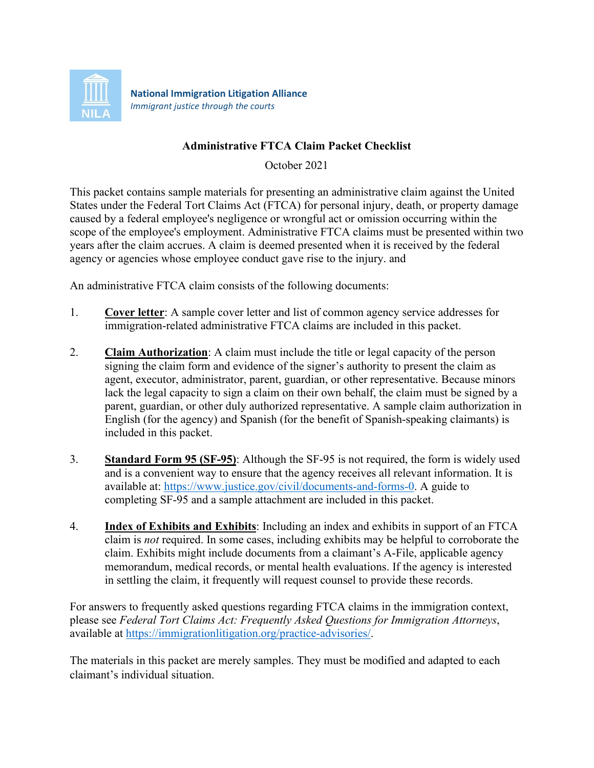

*Immigrant justice through the courts*

### **Administrative FTCA Claim Packet Checklist**

October 2021

This packet contains sample materials for presenting an administrative claim against the United States under the Federal Tort Claims Act (FTCA) for personal injury, death, or property damage caused by a federal employee's negligence or wrongful act or omission occurring within the scope of the employee's employment. Administrative FTCA claims must be presented within two years after the claim accrues. A claim is deemed presented when it is received by the federal agency or agencies whose employee conduct gave rise to the injury. and

An administrative FTCA claim consists of the following documents:

- 1. **Cover letter**: A sample cover letter and list of common agency service addresses for immigration-related administrative FTCA claims are included in this packet.
- 2. **Claim Authorization**: A claim must include the title or legal capacity of the person signing the claim form and evidence of the signer's authority to present the claim as agent, executor, administrator, parent, guardian, or other representative. Because minors lack the legal capacity to sign a claim on their own behalf, the claim must be signed by a parent, guardian, or other duly authorized representative. A sample claim authorization in English (for the agency) and Spanish (for the benefit of Spanish-speaking claimants) is included in this packet.
- 3. **Standard Form 95 (SF-95)**: Although the SF-95 is not required, the form is widely used and is a convenient way to ensure that the agency receives all relevant information. It is available at: [https://www.justice.gov/civil/documents-and-forms-0.](https://www.justice.gov/civil/documents-and-forms-0) A guide to completing SF-95 and a sample attachment are included in this packet.
- 4. **Index of Exhibits and Exhibits**: Including an index and exhibits in support of an FTCA claim is *not* required. In some cases, including exhibits may be helpful to corroborate the claim. Exhibits might include documents from a claimant's A-File, applicable agency memorandum, medical records, or mental health evaluations. If the agency is interested in settling the claim, it frequently will request counsel to provide these records.

For answers to frequently asked questions regarding FTCA claims in the immigration context, please see *Federal Tort Claims Act: Frequently Asked Questions for Immigration Attorneys*, available at [https://immigrationlitigation.org/practice-advisories/.](https://immigrationlitigation.org/practice-advisories/)

The materials in this packet are merely samples. They must be modified and adapted to each claimant's individual situation.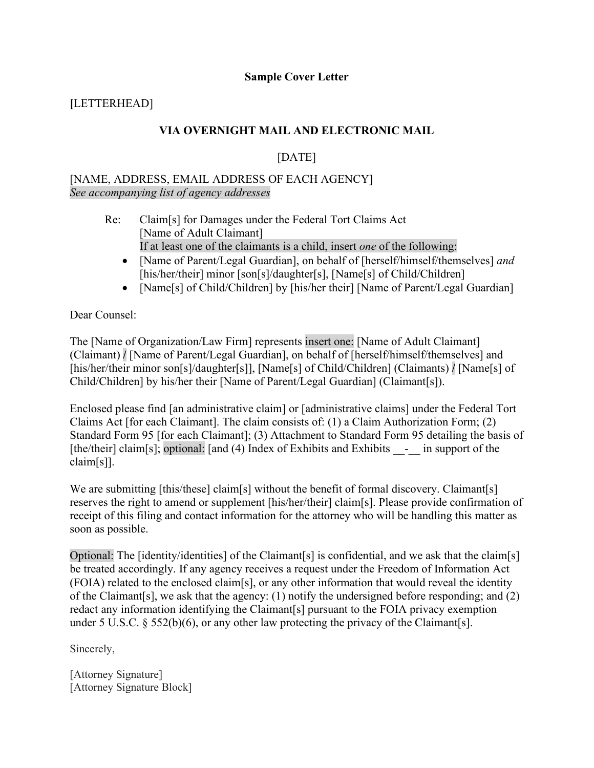### **Sample Cover Letter**

# **[**LETTERHEAD]

### **VIA OVERNIGHT MAIL AND ELECTRONIC MAIL**

# [DATE]

### [NAME, ADDRESS, EMAIL ADDRESS OF EACH AGENCY] *See accompanying list of agency addresses*

- Re: Claim[s] for Damages under the Federal Tort Claims Act [Name of Adult Claimant] If at least one of the claimants is a child, insert *one* of the following:
	- [Name of Parent/Legal Guardian], on behalf of [herself/himself/themselves] *and* [his/her/their] minor [son[s]/daughter[s], [Name[s] of Child/Children]
	- [Name[s] of Child/Children] by [his/her their] [Name of Parent/Legal Guardian]

Dear Counsel:

The [Name of Organization/Law Firm] represents insert one: [Name of Adult Claimant] (Claimant) **/** [Name of Parent/Legal Guardian], on behalf of [herself/himself/themselves] and [his/her/their minor son[s]/daughter[s]], [Name[s] of Child/Children] (Claimants) **/** [Name[s] of Child/Children] by his/her their [Name of Parent/Legal Guardian] (Claimant[s]).

Enclosed please find [an administrative claim] or [administrative claims] under the Federal Tort Claims Act [for each Claimant]. The claim consists of: (1) a Claim Authorization Form; (2) Standard Form 95 [for each Claimant]; (3) Attachment to Standard Form 95 detailing the basis of [the/their] claim[s]; optional: [and (4) Index of Exhibits and Exhibits - in support of the claim[s]].

We are submitting [this/these] claim[s] without the benefit of formal discovery. Claimant[s] reserves the right to amend or supplement [his/her/their] claim[s]. Please provide confirmation of receipt of this filing and contact information for the attorney who will be handling this matter as soon as possible.

Optional: The [identity/identities] of the Claimant[s] is confidential, and we ask that the claim[s] be treated accordingly. If any agency receives a request under the Freedom of Information Act (FOIA) related to the enclosed claim[s], or any other information that would reveal the identity of the Claimant[s], we ask that the agency: (1) notify the undersigned before responding; and (2) redact any information identifying the Claimant[s] pursuant to the FOIA privacy exemption under 5 U.S.C.  $\S$  552(b)(6), or any other law protecting the privacy of the Claimant[s].

Sincerely,

[Attorney Signature] [Attorney Signature Block]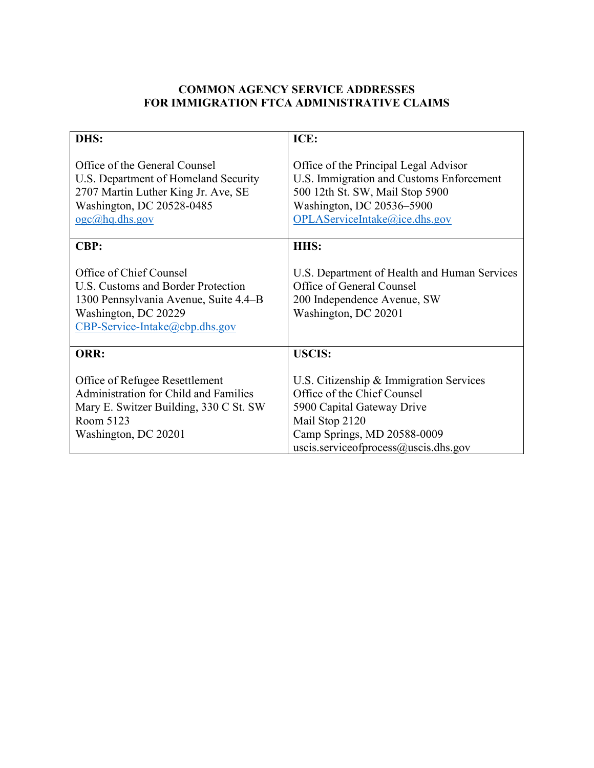# **COMMON AGENCY SERVICE ADDRESSES FOR IMMIGRATION FTCA ADMINISTRATIVE CLAIMS**

| DHS:                                                                                                                                                                  | ICE:                                                                                                                                                                                          |
|-----------------------------------------------------------------------------------------------------------------------------------------------------------------------|-----------------------------------------------------------------------------------------------------------------------------------------------------------------------------------------------|
| Office of the General Counsel<br>U.S. Department of Homeland Security<br>2707 Martin Luther King Jr. Ave, SE<br>Washington, DC 20528-0485<br>$oge(\omega)$ hq.dhs.gov | Office of the Principal Legal Advisor<br>U.S. Immigration and Customs Enforcement<br>500 12th St. SW, Mail Stop 5900<br>Washington, DC 20536-5900<br>OPLAServiceIntake@ice.dhs.gov            |
| <b>CBP:</b>                                                                                                                                                           | HHS:                                                                                                                                                                                          |
| Office of Chief Counsel<br>U.S. Customs and Border Protection<br>1300 Pennsylvania Avenue, Suite 4.4–B<br>Washington, DC 20229<br>CBP-Service-Intake@cbp.dhs.gov      | U.S. Department of Health and Human Services<br>Office of General Counsel<br>200 Independence Avenue, SW<br>Washington, DC 20201                                                              |
| ORR:                                                                                                                                                                  | <b>USCIS:</b>                                                                                                                                                                                 |
| Office of Refugee Resettlement<br><b>Administration for Child and Families</b><br>Mary E. Switzer Building, 330 C St. SW<br>Room 5123<br>Washington, DC 20201         | U.S. Citizenship & Immigration Services<br>Office of the Chief Counsel<br>5900 Capital Gateway Drive<br>Mail Stop 2120<br>Camp Springs, MD 20588-0009<br>uscis.serviceofprocess@uscis.dhs.gov |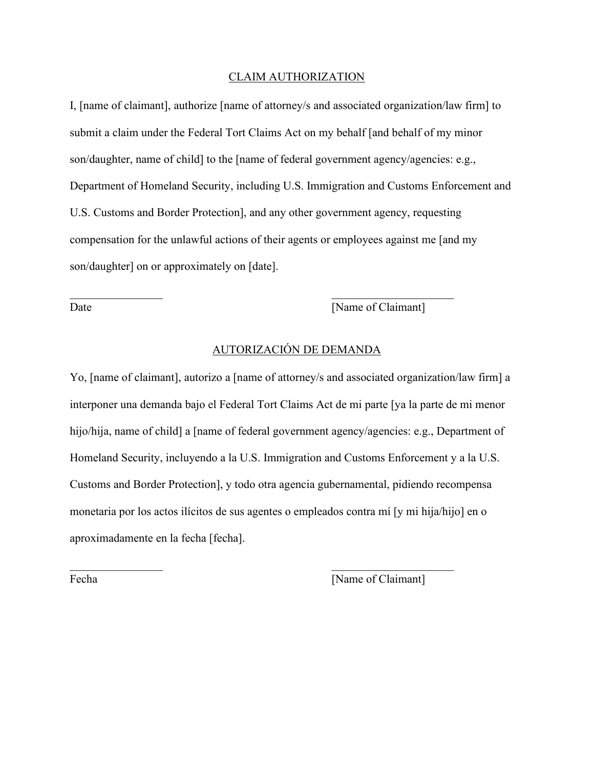#### CLAIM AUTHORIZATION

I, [name of claimant], authorize [name of attorney/s and associated organization/law firm] to submit a claim under the Federal Tort Claims Act on my behalf [and behalf of my minor son/daughter, name of child] to the [name of federal government agency/agencies: e.g., Department of Homeland Security, including U.S. Immigration and Customs Enforcement and U.S. Customs and Border Protection], and any other government agency, requesting compensation for the unlawful actions of their agents or employees against me [and my son/daughter] on or approximately on [date].

Date [Name of Claimant]

# AUTORIZACIÓN DE DEMANDA

 $\mathcal{L}_\mathcal{L}$  , and the contribution of the contribution of  $\mathcal{L}_\mathcal{L}$  , and the contribution of  $\mathcal{L}_\mathcal{L}$ 

Yo, [name of claimant], autorizo a [name of attorney/s and associated organization/law firm] a interponer una demanda bajo el Federal Tort Claims Act de mi parte [ya la parte de mi menor hijo/hija, name of child] a [name of federal government agency/agencies: e.g., Department of Homeland Security, incluyendo a la U.S. Immigration and Customs Enforcement y a la U.S. Customs and Border Protection], y todo otra agencia gubernamental, pidiendo recompensa monetaria por los actos ilícitos de sus agentes o empleados contra mí [y mi hija/hijo] en o aproximadamente en la fecha [fecha].

 $\mathcal{L}_\mathcal{L}$  , and the contribution of the contribution of  $\mathcal{L}_\mathcal{L}$  , and the contribution of  $\mathcal{L}_\mathcal{L}$ 

Fecha [Name of Claimant]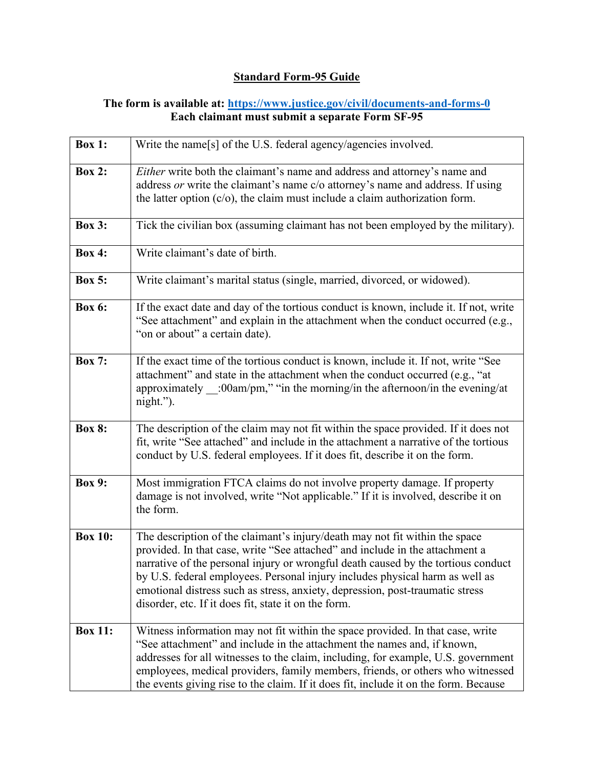# **Standard Form-95 Guide**

### **The form is available at:<https://www.justice.gov/civil/documents-and-forms-0> Each claimant must submit a separate Form SF-95**

| <b>Box 1:</b>  | Write the name[s] of the U.S. federal agency/agencies involved.                                                                                                                                                                                                                                                                                                                                                                                                           |
|----------------|---------------------------------------------------------------------------------------------------------------------------------------------------------------------------------------------------------------------------------------------------------------------------------------------------------------------------------------------------------------------------------------------------------------------------------------------------------------------------|
| <b>Box 2:</b>  | Either write both the claimant's name and address and attorney's name and<br>address or write the claimant's name c/o attorney's name and address. If using<br>the latter option $(c/o)$ , the claim must include a claim authorization form.                                                                                                                                                                                                                             |
| <b>Box 3:</b>  | Tick the civilian box (assuming claimant has not been employed by the military).                                                                                                                                                                                                                                                                                                                                                                                          |
| <b>Box 4:</b>  | Write claimant's date of birth.                                                                                                                                                                                                                                                                                                                                                                                                                                           |
| <b>Box 5:</b>  | Write claimant's marital status (single, married, divorced, or widowed).                                                                                                                                                                                                                                                                                                                                                                                                  |
| <b>Box 6:</b>  | If the exact date and day of the tortious conduct is known, include it. If not, write<br>"See attachment" and explain in the attachment when the conduct occurred (e.g.,<br>"on or about" a certain date).                                                                                                                                                                                                                                                                |
| <b>Box 7:</b>  | If the exact time of the tortious conduct is known, include it. If not, write "See<br>attachment" and state in the attachment when the conduct occurred (e.g., "at<br>approximately $\_\_$ :00am/pm," "in the morning/in the afternoon/in the evening/at<br>$night.$ ").                                                                                                                                                                                                  |
| <b>Box 8:</b>  | The description of the claim may not fit within the space provided. If it does not<br>fit, write "See attached" and include in the attachment a narrative of the tortious<br>conduct by U.S. federal employees. If it does fit, describe it on the form.                                                                                                                                                                                                                  |
| <b>Box 9:</b>  | Most immigration FTCA claims do not involve property damage. If property<br>damage is not involved, write "Not applicable." If it is involved, describe it on<br>the form.                                                                                                                                                                                                                                                                                                |
| <b>Box 10:</b> | The description of the claimant's injury/death may not fit within the space<br>provided. In that case, write "See attached" and include in the attachment a<br>narrative of the personal injury or wrongful death caused by the tortious conduct<br>by U.S. federal employees. Personal injury includes physical harm as well as<br>emotional distress such as stress, anxiety, depression, post-traumatic stress<br>disorder, etc. If it does fit, state it on the form. |
| <b>Box 11:</b> | Witness information may not fit within the space provided. In that case, write<br>"See attachment" and include in the attachment the names and, if known,<br>addresses for all witnesses to the claim, including, for example, U.S. government<br>employees, medical providers, family members, friends, or others who witnessed<br>the events giving rise to the claim. If it does fit, include it on the form. Because                                                  |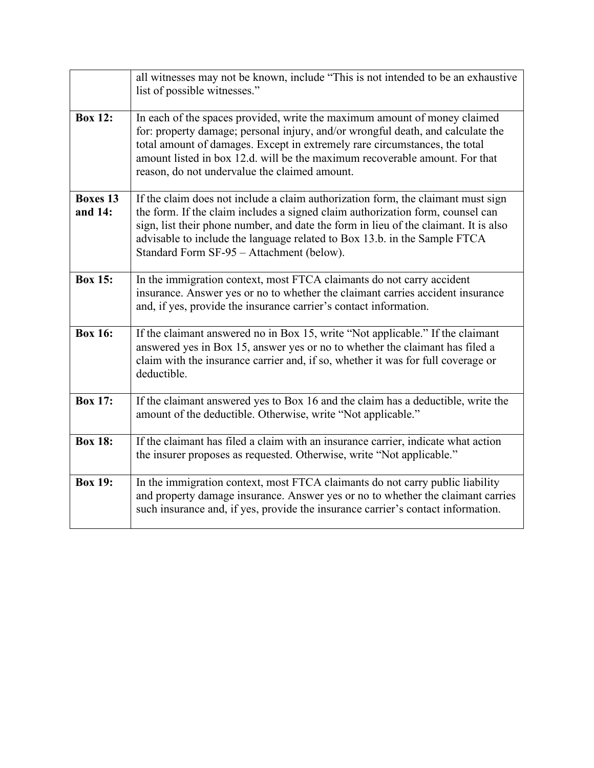|                            | all witnesses may not be known, include "This is not intended to be an exhaustive<br>list of possible witnesses."                                                                                                                                                                                                                                                                    |
|----------------------------|--------------------------------------------------------------------------------------------------------------------------------------------------------------------------------------------------------------------------------------------------------------------------------------------------------------------------------------------------------------------------------------|
| <b>Box 12:</b>             | In each of the spaces provided, write the maximum amount of money claimed<br>for: property damage; personal injury, and/or wrongful death, and calculate the<br>total amount of damages. Except in extremely rare circumstances, the total<br>amount listed in box 12.d. will be the maximum recoverable amount. For that<br>reason, do not undervalue the claimed amount.           |
| <b>Boxes 13</b><br>and 14: | If the claim does not include a claim authorization form, the claimant must sign<br>the form. If the claim includes a signed claim authorization form, counsel can<br>sign, list their phone number, and date the form in lieu of the claimant. It is also<br>advisable to include the language related to Box 13.b. in the Sample FTCA<br>Standard Form SF-95 - Attachment (below). |
| <b>Box 15:</b>             | In the immigration context, most FTCA claimants do not carry accident<br>insurance. Answer yes or no to whether the claimant carries accident insurance<br>and, if yes, provide the insurance carrier's contact information.                                                                                                                                                         |
| <b>Box 16:</b>             | If the claimant answered no in Box 15, write "Not applicable." If the claimant<br>answered yes in Box 15, answer yes or no to whether the claimant has filed a<br>claim with the insurance carrier and, if so, whether it was for full coverage or<br>deductible.                                                                                                                    |
| <b>Box 17:</b>             | If the claimant answered yes to Box 16 and the claim has a deductible, write the<br>amount of the deductible. Otherwise, write "Not applicable."                                                                                                                                                                                                                                     |
| <b>Box 18:</b>             | If the claimant has filed a claim with an insurance carrier, indicate what action<br>the insurer proposes as requested. Otherwise, write "Not applicable."                                                                                                                                                                                                                           |
| <b>Box 19:</b>             | In the immigration context, most FTCA claimants do not carry public liability<br>and property damage insurance. Answer yes or no to whether the claimant carries<br>such insurance and, if yes, provide the insurance carrier's contact information.                                                                                                                                 |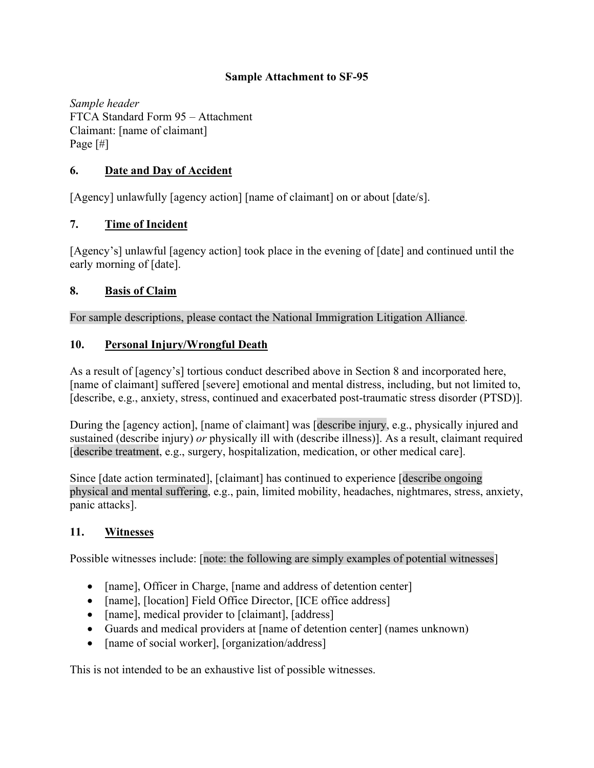### **Sample Attachment to SF-95**

*Sample header*  FTCA Standard Form 95 – Attachment Claimant: [name of claimant] Page [#]

### **6. Date and Day of Accident**

[Agency] unlawfully [agency action] [name of claimant] on or about [date/s].

### **7. Time of Incident**

[Agency's] unlawful [agency action] took place in the evening of [date] and continued until the early morning of [date].

### **8. Basis of Claim**

For sample descriptions, please contact the National Immigration Litigation Alliance.

### **10. Personal Injury/Wrongful Death**

As a result of [agency's] tortious conduct described above in Section 8 and incorporated here, [name of claimant] suffered [severe] emotional and mental distress, including, but not limited to, [describe, e.g., anxiety, stress, continued and exacerbated post-traumatic stress disorder (PTSD)].

During the [agency action], [name of claimant] was [describe injury, e.g., physically injured and sustained (describe injury) *or* physically ill with (describe illness)]. As a result, claimant required [describe treatment, e.g., surgery, hospitalization, medication, or other medical care].

Since [date action terminated], [claimant] has continued to experience [describe ongoing physical and mental suffering, e.g., pain, limited mobility, headaches, nightmares, stress, anxiety, panic attacks].

### **11. Witnesses**

Possible witnesses include: [note: the following are simply examples of potential witnesses]

- [name], Officer in Charge, [name and address of detention center]
- [name], [location] Field Office Director, [ICE office address]
- [name], medical provider to [claimant], [address]
- Guards and medical providers at [name of detention center] (names unknown)
- [name of social worker], [organization/address]

This is not intended to be an exhaustive list of possible witnesses.